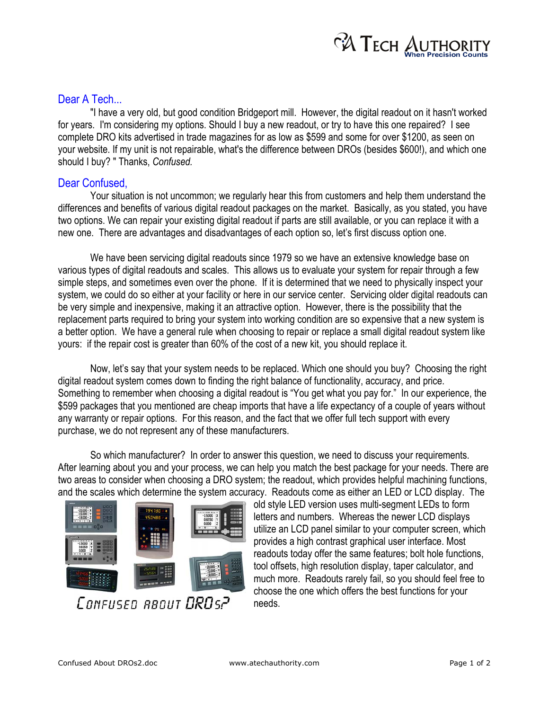

## Dear A Tech...

"I have a very old, but good condition Bridgeport mill. However, the digital readout on it hasn't worked for years. I'm considering my options. Should I buy a new readout, or try to have this one repaired? I see complete DRO kits advertised in trade magazines for as low as \$599 and some for over \$1200, as seen on your website. If my unit is not repairable, what's the difference between DROs (besides \$600!), and which one should I buy? " Thanks, *Confused.*

## Dear Confused,

Your situation is not uncommon; we regularly hear this from customers and help them understand the differences and benefits of various digital readout packages on the market. Basically, as you stated, you have two options. We can repair your existing digital readout if parts are still available, or you can replace it with a new one. There are advantages and disadvantages of each option so, let's first discuss option one.

We have been servicing digital readouts since 1979 so we have an extensive knowledge base on various types of digital readouts and scales. This allows us to evaluate your system for repair through a few simple steps, and sometimes even over the phone. If it is determined that we need to physically inspect your system, we could do so either at your facility or here in our service center. Servicing older digital readouts can be very simple and inexpensive, making it an attractive option. However, there is the possibility that the replacement parts required to bring your system into working condition are so expensive that a new system is a better option. We have a general rule when choosing to repair or replace a small digital readout system like yours: if the repair cost is greater than 60% of the cost of a new kit, you should replace it.

Now, let's say that your system needs to be replaced. Which one should you buy? Choosing the right digital readout system comes down to finding the right balance of functionality, accuracy, and price. Something to remember when choosing a digital readout is "You get what you pay for." In our experience, the \$599 packages that you mentioned are cheap imports that have a life expectancy of a couple of years without any warranty or repair options. For this reason, and the fact that we offer full tech support with every purchase, we do not represent any of these manufacturers.

So which manufacturer? In order to answer this question, we need to discuss your requirements. After learning about you and your process, we can help you match the best package for your needs. There are two areas to consider when choosing a DRO system; the readout, which provides helpful machining functions, and the scales which determine the system accuracy. Readouts come as either an LED or LCD display. The



old style LED version uses multi-segment LEDs to form letters and numbers. Whereas the newer LCD displays utilize an LCD panel similar to your computer screen, which provides a high contrast graphical user interface. Most readouts today offer the same features; bolt hole functions, tool offsets, high resolution display, taper calculator, and much more. Readouts rarely fail, so you should feel free to choose the one which offers the best functions for your needs.